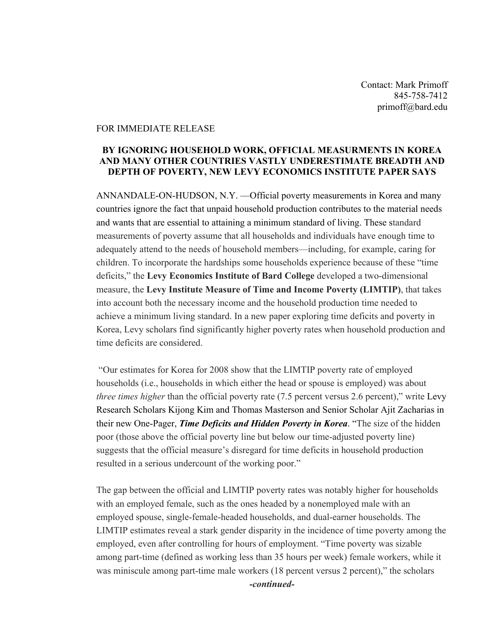Contact: Mark Primoff 845-758-7412 primoff@bard.edu

## FOR IMMEDIATE RELEASE

## **BY IGNORING HOUSEHOLD WORK, OFFICIAL MEASURMENTS IN KOREA AND MANY OTHER COUNTRIES VASTLY UNDERESTIMATE BREADTH AND DEPTH OF POVERTY, NEW LEVY ECONOMICS INSTITUTE PAPER SAYS**

ANNANDALE-ON-HUDSON, N.Y. —Official poverty measurements in Korea and many countries ignore the fact that unpaid household production contributes to the material needs and wants that are essential to attaining a minimum standard of living. These standard measurements of poverty assume that all households and individuals have enough time to adequately attend to the needs of household members—including, for example, caring for children. To incorporate the hardships some households experience because of these "time deficits," the **Levy Economics Institute of Bard College** developed a two-dimensional measure, the **Levy Institute Measure of Time and Income Poverty (LIMTIP)**, that takes into account both the necessary income and the household production time needed to achieve a minimum living standard. In a new paper exploring time deficits and poverty in Korea, Levy scholars find significantly higher poverty rates when household production and time deficits are considered.

"Our estimates for Korea for 2008 show that the LIMTIP poverty rate of employed households (i.e., households in which either the head or spouse is employed) was about *three times higher* than the official poverty rate (7.5 percent versus 2.6 percent)," write Levy Research Scholars Kijong Kim and Thomas Masterson and Senior Scholar Ajit Zacharias in their new One-Pager, *Time Deficits and Hidden Poverty in Korea*. "The size of the hidden poor (those above the official poverty line but below our time-adjusted poverty line) suggests that the official measure's disregard for time deficits in household production resulted in a serious undercount of the working poor."

The gap between the official and LIMTIP poverty rates was notably higher for households with an employed female, such as the ones headed by a nonemployed male with an employed spouse, single-female-headed households, and dual-earner households. The LIMTIP estimates reveal a stark gender disparity in the incidence of time poverty among the employed, even after controlling for hours of employment. "Time poverty was sizable among part-time (defined as working less than 35 hours per week) female workers, while it was miniscule among part-time male workers (18 percent versus 2 percent)," the scholars *-continued-*